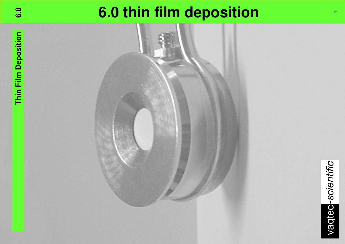# **6.0 thin film deposition**

**1**

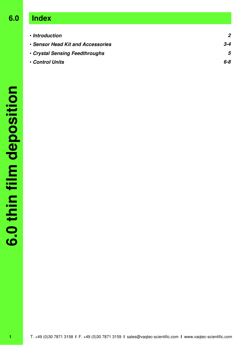## **6.0 Index**

| • Introduction                    |         |
|-----------------------------------|---------|
| • Sensor Head Kit and Accessories | $3 - 4$ |
| • Crystal Sensing Feedthroughs    | 5       |
| • Control Units                   | 6-8     |
|                                   |         |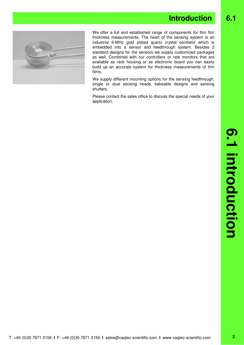### **Introduction** 6.1



We offer a full and established range of components for thin film thickness measurements. The heart of the sensing system is an industrial 6-MHz gold plated quartz crystal oscillator which is embedded into a sensor and feedthrough system. Besides 2 standard designs for the sensors we supply customized packages as well. Combined with our controllers or rate monitors that are available as rack housing or as electronic board you can easily build up an accurate system for thickness measurements of thin films.

We supply different mounting options for the sensing feedthrough, single or dual sensing heads, bakeable designs and sensing shutters.

Please contact the sales office to discuss the special needs of your application.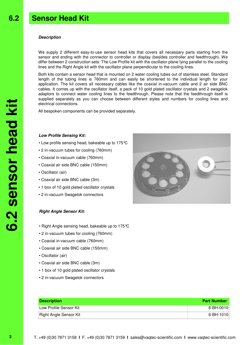#### **Description**

We supply 2 different easy-to-use sensor head kits that covers all necessary parts starting from the sensor and ending with the connector to controller or display (besides controller and feedthrough). We differ between 2 construction sets: The Low Profile kit with the oscillator plane lying parallel to the cooling lines and the Right Angle kit with the oscillator plane perpendicular to the cooling lines.

Both kits contain a sensor head that is mounted on 2 water cooling tubes out of stainless steel. Standard length of the tubing lines is 760mm and can easily be shortened to the individual length for your application. The kit covers all necessary cables like the coaxial in-vacuum cable and 2 air side BNC cables. It comes up with the oscillator itself, a pack of 10 gold plated oscillator crystals and 2 swagelok adaptors to connect water cooling lines to the feedthrough. Please note that the feedthrough itself is supplied separately as you can choose between different styles and numbers for cooling lines and electrical connections.

All bespoken components can be provided separately.

#### **Low Profile Sensing Kit:**

- Low profile sensing head, bakeable up to 175°C
- 2 in-vacuum tubes for cooling (760mm)
- Coaxial in-vacuum cable (760mm)
- Coaxial air side BNC cable (150mm)
- Oscillator (air)
- Coaxial air side BNC cable (3m)
- 1 box of 10 gold plated oscillator crystals
- 2 in-vacuum Swagelok connectors

#### **Right Angle Sensor Kit:**

- Right Angle sensing head, bakeable up to 175°C
- 2 in-vacuum tubes for cooling (760mm)
- Coaxial in-vacuum cable (760mm)
- Coaxial air side BNC cable (150mm)
- Oscillator (air)
- Coaxial air side BNC cable (3m)
- 1 box of 10 gold plated oscillator crystals
- 2 in-vacuum Swagelok connectors

| <b>Description</b>     | <b>Part Number</b> |
|------------------------|--------------------|
| Low Profile Sensor Kit | 6-BH-0010          |
| Right Angle Sensor Kit | 6-BH-1010          |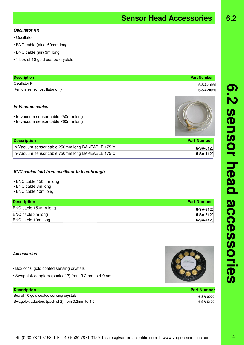| <b>Description</b>                                | <b>Part Number</b> |  |
|---------------------------------------------------|--------------------|--|
| Box of 10 gold coated sensing crystals            | 6-SA-0020          |  |
| Swagelok adaptors (pack of 2) from 3,2mm to 4,0mm | 6-SA-5120          |  |

#### **Oscillator Kit**

- Oscillator
- BNC cable (air) 150mm long
- BNC cable (air) 3m long
- 1 box of 10 gold coated crystals

| <b>Description</b>            | <b>Part Number</b> |
|-------------------------------|--------------------|
| <b>Oscillator Kit</b>         | 6-SA-1020          |
| Remote sensor oscillator only | 6-SA-9020          |

#### **In-Vacuum cables**

- In-vacuum sensor cable 250mm long
- In-vacuum sensor cable 760mm long



**Sensor Head Accessories**

| <b>Description</b>                                | <b>Part Number</b> |
|---------------------------------------------------|--------------------|
| In-Vacuum sensor cable 250mm long BAKEABLE 175 °c | 6-SA-0120          |
| In-Vacuum sensor cable 750mm long BAKEABLE 175 ℃  | 6-SA-1120          |

#### **BNC cables (air) from oscillator to feedthrough**

- BNC cable 150mm long
- BNC cable 3m long
- BNC cable 10m long

| <b>Description</b>   | <b>Part Number</b> |
|----------------------|--------------------|
| BNC cable 150mm long | 6-SA-2120          |
| BNC cable 3m long    | 6-SA-3120          |
| BNC cable 10m long   | 6-SA-4120          |

### **Accessories**

- Box of 10 gold coated sensing crystals
- Swagelok adaptors (pack of 2) from 3.2mm to 4.0mm

|  |  | T. +49 (0)30 7871 3158 I F. +49 (0)30 7871 3159 I sales@vaqtec-scientific.com I www.vaqtec-scientific.com |  |  |
|--|--|-----------------------------------------------------------------------------------------------------------|--|--|
|--|--|-----------------------------------------------------------------------------------------------------------|--|--|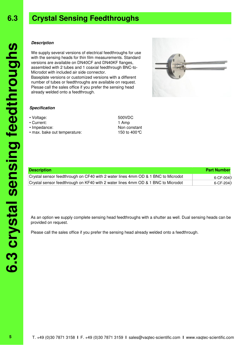## **Crystal Sensing Feedthroughs**

#### **Description**

We supply several versions of electrical feedthroughs for use with the sensing heads for thin film measurements. Standard versions are available on DN40CF and DN40KF flanges, assembled with 2 tubes and 1 coaxial feedthrough BNC-to-Microdot with included air side connector. Baseplate versions or customized versions with a different number of tubes or feedthroughs are available on request. Plesae call the sales office if you prefer the sensing head already welded onto a feedthrough.



- Voltage: 500VDC
- Current: 1 Amp
- 
- max. bake out temperature: 150 to 400 °C

• Impedance: Non constant

| <b>Description</b>                                                               | <b>Part Number</b> |
|----------------------------------------------------------------------------------|--------------------|
| Crystal sensor feedthrough on CF40 with 2 water lines 4mm OD & 1 BNC to Microdot | 6-CF-0040          |
| Crystal sensor feedthrough on KF40 with 2 water lines 4mm OD & 1 BNC to Microdot | 6-CF-2040          |

As an option we supply complete sensing head feedthroughs with a shutter as well. Dual sensing heads can be provided on request.

Please call the sales office if you prefer the sensing head already welded onto a feedthrough.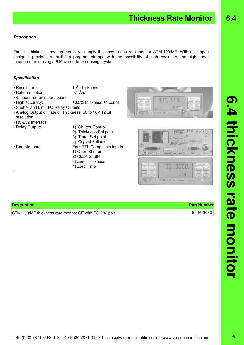**6.4**

#### **Description**

For film thickness measurements we supply the easy-to-use rate monitor STM-100/MF. With a compact design it provides a multi-film program storage with the possibility of high-resolution and high speed measurements using a 6 Mhz oscillator sensing crystal.

#### **Specification**

- Resolution: 1 Å Thickness
	-
- Rate resolution: 0.1 Å/s
- 4 measurements per second • High accuracy:  $\pm 0.5$ % thickness  $\pm 1$  count
- Shutter and Limit I/O Relay Outputs
- Analog Output of Rate or Thickness ±0 to 10V 12 bit resolution
- RS-232 Interface
- 
- Relay Output: 1) Shutter Control
	- 2) Thickness Set point
	- 3) Timer Set point
	- 4) Crystal Failure
- 

:

- Remote Input: Four TTL Compatible inputs 1) Open Shutter 2) Close Shutter
	- 3) Zero Thickness
	- 4) Zero Time





| <b>Description</b>                                    | <b>Part Number</b> |
|-------------------------------------------------------|--------------------|
| STM-100/MF thickness rate monitor CE with RS-232 port | 6-TM-2030          |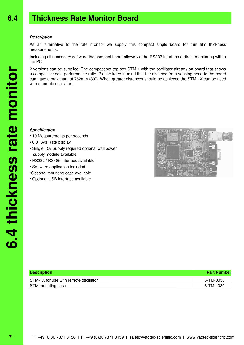#### **Description**

As an alternative to the rate monitor we supply this compact single board for thin film thickness measurements.

Including all necessary software the compact board allows via the RS232 interface a direct monitoring with a lab PC.

2 versions can be supplied: The compact set top box STM-1 with the oscillator already on board that shows a competitive cost-performance ratio. Please keep in mind that the distance from sensing head to the board can have a maximum of 762mm (30"). When greater distances should be achieved the STM-1X can be used with a remote oscillator..

#### **Specification**

- 10 Measurements per seconds
- 0.01 Å/s Rate display
- Single +5v Supply required optional wall power supply module available
- RS232 / RS485 interface available
- Software application included
- •Optional mounting case available
- Optional USB interface available



| <b>Description</b>                    | <b>Part Number</b> |  |
|---------------------------------------|--------------------|--|
| STM-1X for use with remote oscillator | 6-TM-0030          |  |
| <b>STM</b> mounting case              | 6-TM-1030          |  |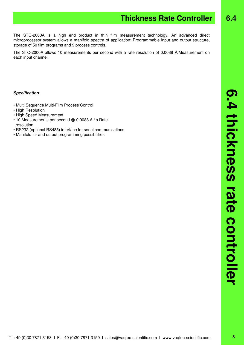#### **Specification:**

- Multi Sequence Multi-Film Process Control
- High Resolution
- High Speed Measurement
- 10 Measurements per second @ 0.0088 A / s Rate resolution
- RS232 (optional RS485) interface for serial communications
- Manifold in- and output programming possibilities

**6.4**

The STC-2000A is a high end product in thin film measurement technology. An advanced direct microprocessor system allows a manifold spectra of application: Programmable input and output structure, storage of 50 film programs and 9 process controls.

The STC-2000A allows 10 measurements per second with a rate resolution of 0.0088 Å/Measurement on each input channel.